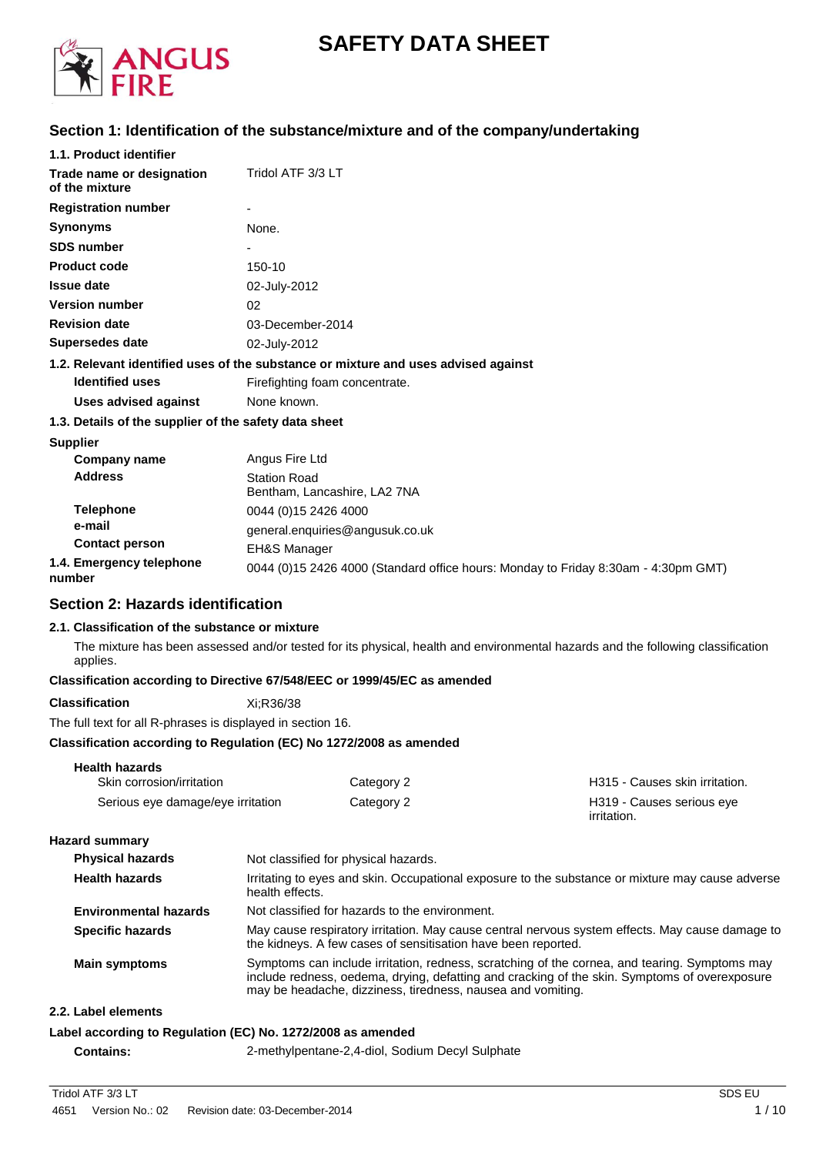

# **SAFETY DATA SHEET**

# **Section 1: Identification of the substance/mixture and of the company/undertaking**

| 1.1. Product identifier                               |                                                                                    |
|-------------------------------------------------------|------------------------------------------------------------------------------------|
| Trade name or designation<br>of the mixture           | Tridol ATF 3/3 LT                                                                  |
| <b>Registration number</b>                            |                                                                                    |
| <b>Synonyms</b>                                       | None.                                                                              |
| <b>SDS number</b>                                     |                                                                                    |
| <b>Product code</b>                                   | 150-10                                                                             |
| <b>Issue date</b>                                     | 02-July-2012                                                                       |
| <b>Version number</b>                                 | 02                                                                                 |
| <b>Revision date</b>                                  | 03-December-2014                                                                   |
| Supersedes date                                       | 02-July-2012                                                                       |
|                                                       | 1.2. Relevant identified uses of the substance or mixture and uses advised against |
| <b>Identified uses</b>                                | Firefighting foam concentrate.                                                     |
| <b>Uses advised against</b>                           | None known.                                                                        |
| 1.3. Details of the supplier of the safety data sheet |                                                                                    |
|                                                       |                                                                                    |

**Supplier**

| Company name                       | Angus Fire Ltd                                                                     |
|------------------------------------|------------------------------------------------------------------------------------|
| <b>Address</b>                     | <b>Station Road</b><br>Bentham, Lancashire, LA2 7NA                                |
| <b>Telephone</b>                   | 0044 (0)15 2426 4000                                                               |
| e-mail                             | general.enguiries@angusuk.co.uk                                                    |
| <b>Contact person</b>              | <b>EH&amp;S Manager</b>                                                            |
| 1.4. Emergency telephone<br>number | 0044 (0)15 2426 4000 (Standard office hours: Monday to Friday 8:30am - 4:30pm GMT) |

# **Section 2: Hazards identification**

#### **2.1. Classification of the substance or mixture**

The mixture has been assessed and/or tested for its physical, health and environmental hazards and the following classification applies.

## **Classification according to Directive 67/548/EEC or 1999/45/EC as amended**

**Classification** Xi;R36/38

The full text for all R-phrases is displayed in section 16.

## **Classification according to Regulation (EC) No 1272/2008 as amended**

| <b>Health hazards</b>             |            |                                          |
|-----------------------------------|------------|------------------------------------------|
| Skin corrosion/irritation         | Category 2 | H315 - Causes skin irritation.           |
| Serious eye damage/eye irritation | Category 2 | H319 - Causes serious eye<br>irritation. |

**Hazard summary**

| <b>Physical hazards</b>      | Not classified for physical hazards.                                                                                                                                                                                                                          |
|------------------------------|---------------------------------------------------------------------------------------------------------------------------------------------------------------------------------------------------------------------------------------------------------------|
| <b>Health hazards</b>        | Irritating to eyes and skin. Occupational exposure to the substance or mixture may cause adverse<br>health effects.                                                                                                                                           |
| <b>Environmental hazards</b> | Not classified for hazards to the environment.                                                                                                                                                                                                                |
| Specific hazards             | May cause respiratory irritation. May cause central nervous system effects. May cause damage to<br>the kidneys. A few cases of sensitisation have been reported.                                                                                              |
| <b>Main symptoms</b>         | Symptoms can include irritation, redness, scratching of the cornea, and tearing. Symptoms may<br>include redness, oedema, drying, defatting and cracking of the skin. Symptoms of overexposure<br>may be headache, dizziness, tiredness, nausea and vomiting. |
| 2.2. Label elements          |                                                                                                                                                                                                                                                               |
|                              | Label according to Regulation (EC) No. 1272/2008 as amended                                                                                                                                                                                                   |

**Contains:** 2-methylpentane-2,4-diol, Sodium Decyl Sulphate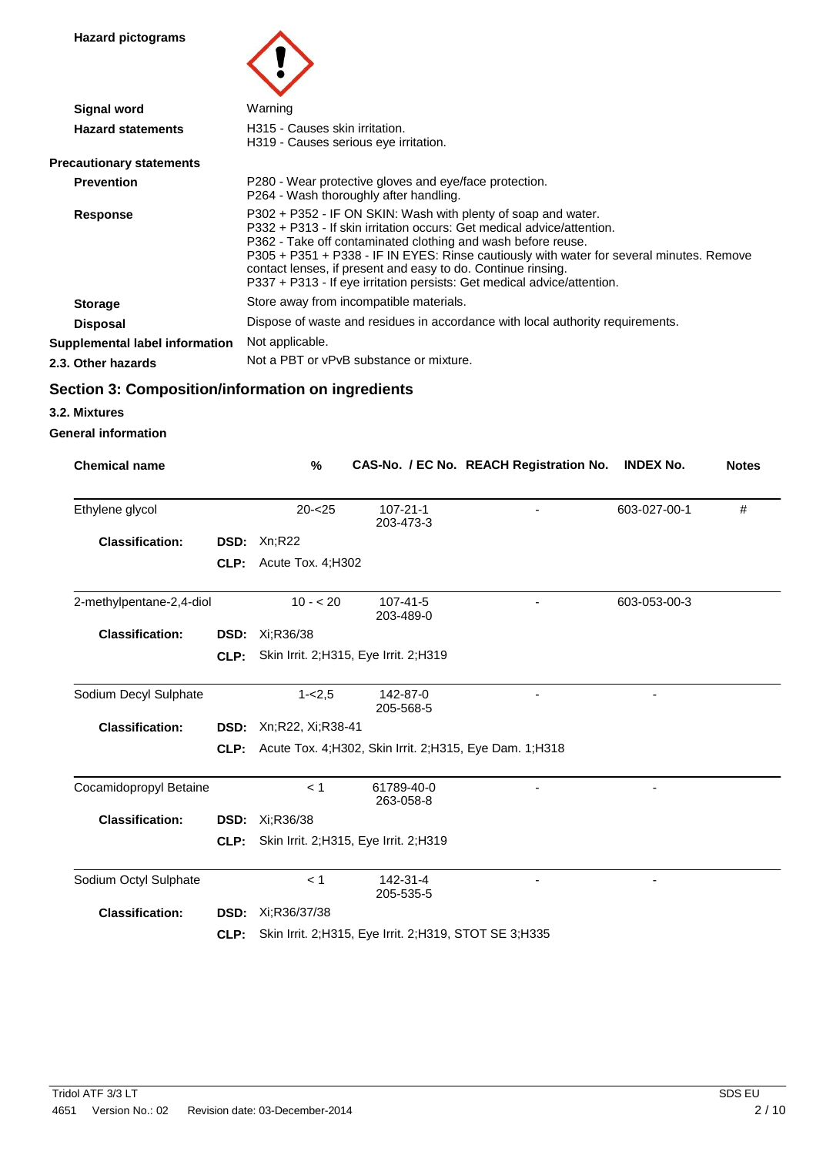**Hazard pictograms**



| <b>Signal word</b>              | Warning                                                                                                                                                                                                                                                                                                                                                                                                                                        |
|---------------------------------|------------------------------------------------------------------------------------------------------------------------------------------------------------------------------------------------------------------------------------------------------------------------------------------------------------------------------------------------------------------------------------------------------------------------------------------------|
| <b>Hazard statements</b>        | H315 - Causes skin irritation.<br>H319 - Causes serious eye irritation.                                                                                                                                                                                                                                                                                                                                                                        |
| <b>Precautionary statements</b> |                                                                                                                                                                                                                                                                                                                                                                                                                                                |
| <b>Prevention</b>               | P280 - Wear protective gloves and eye/face protection.<br>P264 - Wash thoroughly after handling.                                                                                                                                                                                                                                                                                                                                               |
| <b>Response</b>                 | P302 + P352 - IF ON SKIN: Wash with plenty of soap and water.<br>P332 + P313 - If skin irritation occurs: Get medical advice/attention.<br>P362 - Take off contaminated clothing and wash before reuse.<br>P305 + P351 + P338 - IF IN EYES: Rinse cautiously with water for several minutes. Remove<br>contact lenses, if present and easy to do. Continue rinsing.<br>P337 + P313 - If eye irritation persists: Get medical advice/attention. |
| <b>Storage</b>                  | Store away from incompatible materials.                                                                                                                                                                                                                                                                                                                                                                                                        |
| <b>Disposal</b>                 | Dispose of waste and residues in accordance with local authority requirements.                                                                                                                                                                                                                                                                                                                                                                 |
| Supplemental label information  | Not applicable.                                                                                                                                                                                                                                                                                                                                                                                                                                |
| 2.3. Other hazards              | Not a PBT or vPvB substance or mixture.                                                                                                                                                                                                                                                                                                                                                                                                        |

# **Section 3: Composition/information on ingredients**

**3.2. Mixtures**

## **General information**

| <b>Chemical name</b>     |      | %                     |                                                           | CAS-No. / EC No. REACH Registration No. | <b>INDEX No.</b> | <b>Notes</b> |
|--------------------------|------|-----------------------|-----------------------------------------------------------|-----------------------------------------|------------------|--------------|
| Ethylene glycol          |      | $20 - 25$             | $107 - 21 - 1$<br>203-473-3                               |                                         | 603-027-00-1     | #            |
| <b>Classification:</b>   | DSD: | Xn; R22               |                                                           |                                         |                  |              |
|                          | CLP: | Acute Tox. 4; H302    |                                                           |                                         |                  |              |
| 2-methylpentane-2,4-diol |      | $10 - 20$             | $107 - 41 - 5$<br>203-489-0                               |                                         | 603-053-00-3     |              |
| <b>Classification:</b>   | DSD: | Xi;R36/38             |                                                           |                                         |                  |              |
|                          | CLP: |                       | Skin Irrit. 2; H315, Eye Irrit. 2; H319                   |                                         |                  |              |
| Sodium Decyl Sulphate    |      | $1 - 2,5$             | 142-87-0<br>205-568-5                                     |                                         |                  |              |
| <b>Classification:</b>   | DSD: | Xn;R22, Xi;R38-41     |                                                           |                                         |                  |              |
|                          | CLP: |                       | Acute Tox. 4; H302, Skin Irrit. 2; H315, Eye Dam. 1; H318 |                                         |                  |              |
| Cocamidopropyl Betaine   |      | < 1                   | 61789-40-0<br>263-058-8                                   |                                         |                  |              |
| <b>Classification:</b>   |      | <b>DSD:</b> Xi;R36/38 |                                                           |                                         |                  |              |
|                          | CLP: |                       | Skin Irrit. 2;H315, Eye Irrit. 2;H319                     |                                         |                  |              |
| Sodium Octyl Sulphate    |      | < 1                   | 142-31-4<br>205-535-5                                     |                                         |                  |              |
| <b>Classification:</b>   | DSD: | Xi:R36/37/38          |                                                           |                                         |                  |              |
|                          | CLP: |                       | Skin Irrit. 2; H315, Eye Irrit. 2; H319, STOT SE 3; H335  |                                         |                  |              |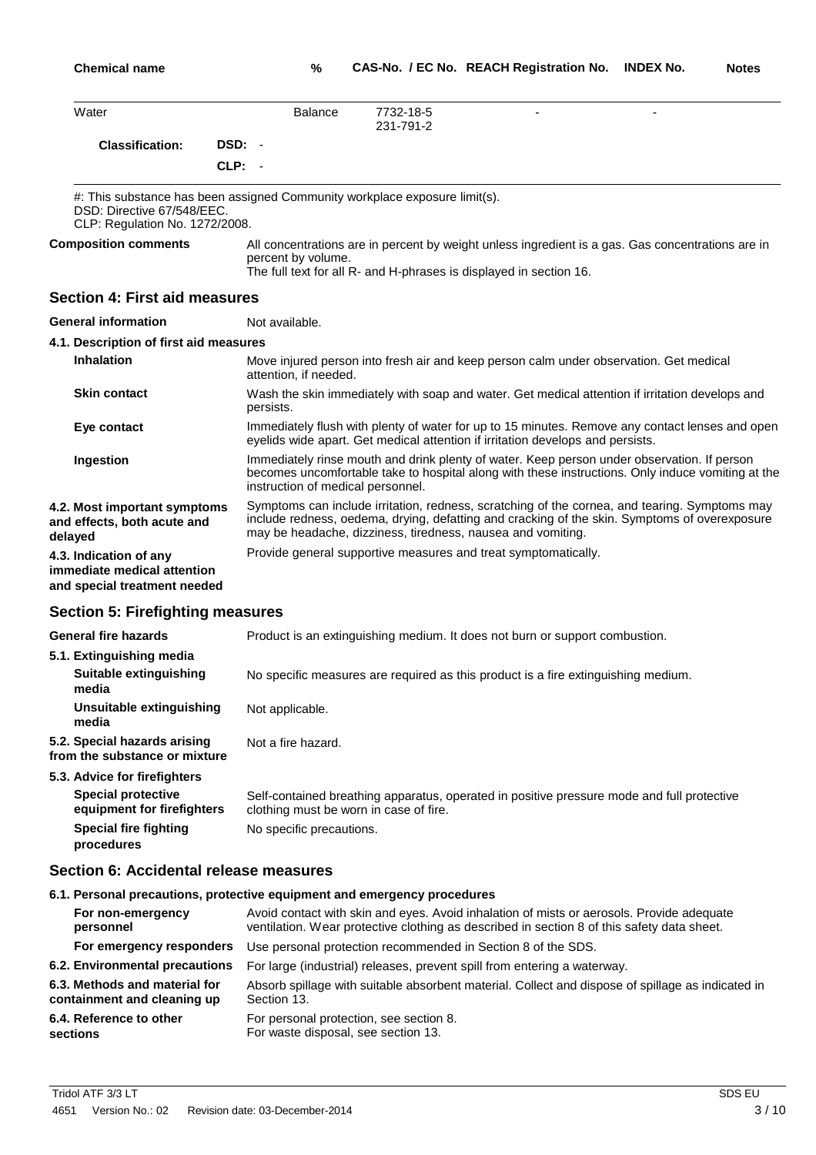| Water                                                                                                                                      |                       | <b>Balance</b> | 7732-18-5<br>$\overline{\phantom{a}}$<br>231-791-2                                                                                                                                                                                                            |
|--------------------------------------------------------------------------------------------------------------------------------------------|-----------------------|----------------|---------------------------------------------------------------------------------------------------------------------------------------------------------------------------------------------------------------------------------------------------------------|
| <b>Classification:</b>                                                                                                                     | DSD: -                |                |                                                                                                                                                                                                                                                               |
|                                                                                                                                            | $CLP: -$              |                |                                                                                                                                                                                                                                                               |
| #: This substance has been assigned Community workplace exposure limit(s).<br>DSD: Directive 67/548/EEC.<br>CLP: Regulation No. 1272/2008. |                       |                |                                                                                                                                                                                                                                                               |
| <b>Composition comments</b>                                                                                                                | percent by volume.    |                | All concentrations are in percent by weight unless ingredient is a gas. Gas concentrations are in<br>The full text for all R- and H-phrases is displayed in section 16.                                                                                       |
| <b>Section 4: First aid measures</b>                                                                                                       |                       |                |                                                                                                                                                                                                                                                               |
| <b>General information</b>                                                                                                                 | Not available.        |                |                                                                                                                                                                                                                                                               |
| 4.1. Description of first aid measures                                                                                                     |                       |                |                                                                                                                                                                                                                                                               |
| <b>Inhalation</b>                                                                                                                          | attention, if needed. |                | Move injured person into fresh air and keep person calm under observation. Get medical                                                                                                                                                                        |
| <b>Skin contact</b>                                                                                                                        | persists.             |                | Wash the skin immediately with soap and water. Get medical attention if irritation develops and                                                                                                                                                               |
| Eye contact                                                                                                                                |                       |                | Immediately flush with plenty of water for up to 15 minutes. Remove any contact lenses and open<br>eyelids wide apart. Get medical attention if irritation develops and persists.                                                                             |
| Ingestion                                                                                                                                  |                       |                | Immediately rinse mouth and drink plenty of water. Keep person under observation. If person<br>becomes uncomfortable take to hospital along with these instructions. Only induce vomiting at the<br>instruction of medical personnel.                         |
| 4.2. Most important symptoms<br>and effects, both acute and<br>delayed                                                                     |                       |                | Symptoms can include irritation, redness, scratching of the cornea, and tearing. Symptoms may<br>include redness, oedema, drying, defatting and cracking of the skin. Symptoms of overexposure<br>may be headache, dizziness, tiredness, nausea and vomiting. |
| 4.3. Indication of any<br>immediate medical attention<br>and special treatment needed                                                      |                       |                | Provide general supportive measures and treat symptomatically.                                                                                                                                                                                                |
| <b>Section 5: Firefighting measures</b>                                                                                                    |                       |                |                                                                                                                                                                                                                                                               |
| <b>General fire hazards</b>                                                                                                                |                       |                | Product is an extinguishing medium. It does not burn or support combustion.                                                                                                                                                                                   |
| 5.1. Extinguishing media                                                                                                                   |                       |                |                                                                                                                                                                                                                                                               |
| <b>Suitable extinguishing</b><br>media                                                                                                     |                       |                | No specific measures are required as this product is a fire extinguishing medium.                                                                                                                                                                             |
| <b>Unsuitable extinguishing</b><br>media                                                                                                   | Not applicable.       |                |                                                                                                                                                                                                                                                               |
| 5.2. Special hazards arising<br>from the substance or mixture                                                                              | Not a fire hazard.    |                |                                                                                                                                                                                                                                                               |
|                                                                                                                                            |                       |                |                                                                                                                                                                                                                                                               |

**5.3. Advice for firefighters Special protective equipment for firefighters Special fire fighting** Self-contained breathing apparatus, operated in positive pressure mode and full protective clothing must be worn in case of fire. No specific precautions.

## **Section 6: Accidental release measures**

**procedures**

## **6.1. Personal precautions, protective equipment and emergency procedures**

| For non-emergency              | Avoid contact with skin and eyes. Avoid inhalation of mists or aerosols. Provide adequate         |
|--------------------------------|---------------------------------------------------------------------------------------------------|
| personnel                      | ventilation. Wear protective clothing as described in section 8 of this safety data sheet.        |
| For emergency responders       | Use personal protection recommended in Section 8 of the SDS.                                      |
| 6.2. Environmental precautions | For large (industrial) releases, prevent spill from entering a waterway.                          |
| 6.3. Methods and material for  | Absorb spillage with suitable absorbent material. Collect and dispose of spillage as indicated in |
| containment and cleaning up    | Section 13.                                                                                       |
| 6.4. Reference to other        | For personal protection, see section 8.                                                           |
| sections                       | For waste disposal, see section 13.                                                               |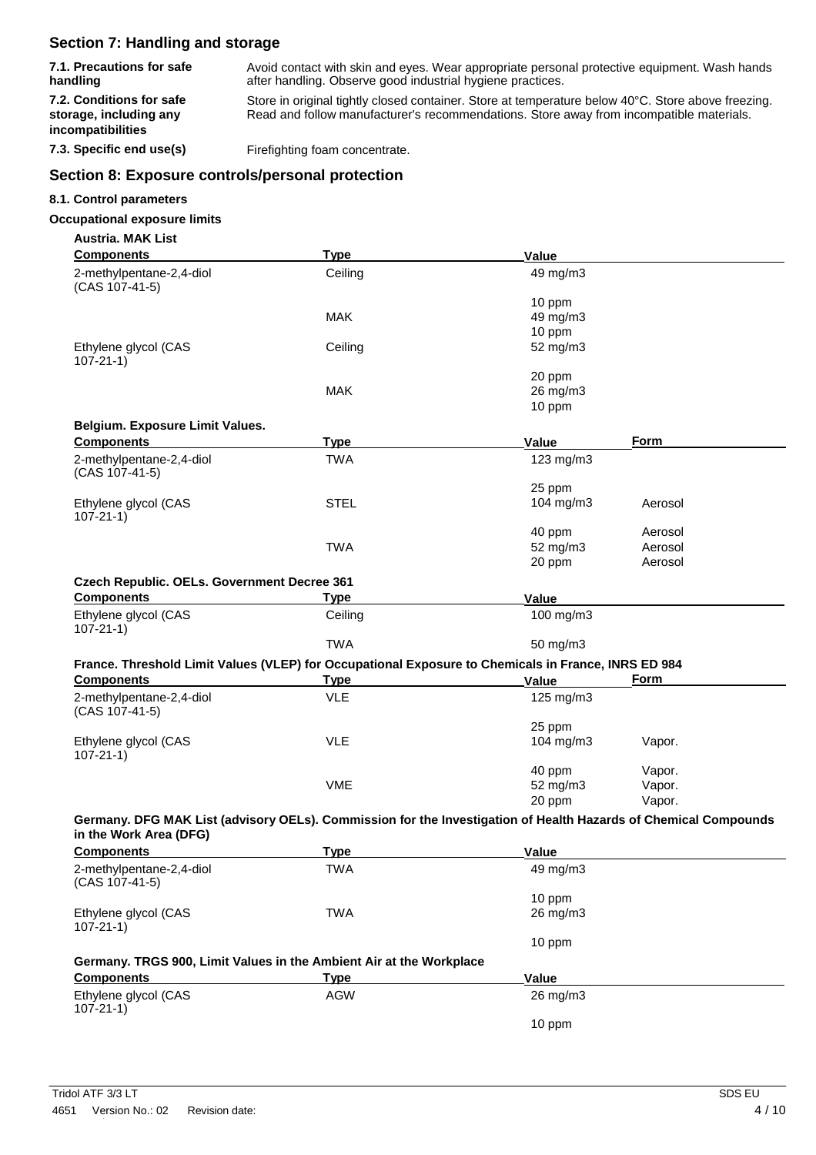# **Section 7: Handling and storage**

**7.1. Precautions for safe handling**

Avoid contact with skin and eyes. Wear appropriate personal protective equipment. Wash hands after handling. Observe good industrial hygiene practices.

**7.2. Conditions for safe storage, including any incompatibilities**

Store in original tightly closed container. Store at temperature below 40°C. Store above freezing. Read and follow manufacturer's recommendations. Store away from incompatible materials.

**7.3. Specific end use(s)** Firefighting foam concentrate.

## **Section 8: Exposure controls/personal protection**

#### **8.1. Control parameters**

### **Occupational exposure limits**

| <b>Austria, MAK List</b>                                                                                                                  |             |                     |         |
|-------------------------------------------------------------------------------------------------------------------------------------------|-------------|---------------------|---------|
| <b>Components</b>                                                                                                                         | <b>Type</b> | <b>Value</b>        |         |
| 2-methylpentane-2,4-diol<br>(CAS 107-41-5)                                                                                                | Ceiling     | 49 mg/m3            |         |
|                                                                                                                                           |             | 10 ppm              |         |
|                                                                                                                                           | <b>MAK</b>  | 49 mg/m3            |         |
|                                                                                                                                           |             | 10 ppm              |         |
| Ethylene glycol (CAS<br>$107 - 21 - 1$                                                                                                    | Ceiling     | 52 mg/m3            |         |
|                                                                                                                                           |             | 20 ppm              |         |
|                                                                                                                                           | <b>MAK</b>  | 26 mg/m3            |         |
|                                                                                                                                           |             | 10 ppm              |         |
| Belgium. Exposure Limit Values.                                                                                                           |             |                     |         |
| <b>Components</b>                                                                                                                         | <u>Type</u> | Value               | Form    |
| 2-methylpentane-2,4-diol<br>(CAS 107-41-5)                                                                                                | <b>TWA</b>  | 123 mg/m3           |         |
|                                                                                                                                           |             | 25 ppm              |         |
| Ethylene glycol (CAS<br>$107 - 21 - 1$                                                                                                    | <b>STEL</b> | 104 mg/m3           | Aerosol |
|                                                                                                                                           |             | 40 ppm              | Aerosol |
|                                                                                                                                           | <b>TWA</b>  | 52 mg/m3            | Aerosol |
|                                                                                                                                           |             | 20 ppm              | Aerosol |
| Czech Republic. OELs. Government Decree 361                                                                                               |             |                     |         |
| <b>Components</b>                                                                                                                         | Type        | Value               |         |
| Ethylene glycol (CAS<br>$107 - 21 - 1$                                                                                                    | Ceiling     | 100 mg/m3           |         |
|                                                                                                                                           | <b>TWA</b>  | 50 mg/m3            |         |
| France. Threshold Limit Values (VLEP) for Occupational Exposure to Chemicals in France, INRS ED 984                                       |             |                     |         |
| <b>Components</b>                                                                                                                         | <u>Type</u> | Value               | Form    |
|                                                                                                                                           | <b>VLE</b>  |                     |         |
| 2-methylpentane-2,4-diol<br>(CAS 107-41-5)                                                                                                |             | 125 mg/m3           |         |
|                                                                                                                                           |             | 25 ppm              |         |
| Ethylene glycol (CAS<br>$107 - 21 - 1$                                                                                                    | <b>VLE</b>  | 104 mg/m3           | Vapor.  |
|                                                                                                                                           |             | 40 ppm              | Vapor.  |
|                                                                                                                                           | <b>VME</b>  | 52 mg/m3            | Vapor.  |
|                                                                                                                                           |             | 20 ppm              | Vapor.  |
| Germany. DFG MAK List (advisory OELs). Commission for the Investigation of Health Hazards of Chemical Compounds<br>in the Work Area (DFG) |             |                     |         |
| <b>Components</b>                                                                                                                         | <b>Type</b> | Value               |         |
| 2-methylpentane-2,4-diol                                                                                                                  | <b>TWA</b>  | 49 mg/m3            |         |
| (CAS 107-41-5)                                                                                                                            |             |                     |         |
|                                                                                                                                           |             | 10 ppm              |         |
| Ethylene glycol (CAS<br>$107 - 21 - 1$                                                                                                    | <b>TWA</b>  | $26 \text{ mg/m}$ 3 |         |
|                                                                                                                                           |             | 10 ppm              |         |
|                                                                                                                                           |             |                     |         |
| Germany. TRGS 900, Limit Values in the Ambient Air at the Workplace<br>$C$ omnononte                                                      | $T1$ mo     | 17.I.               |         |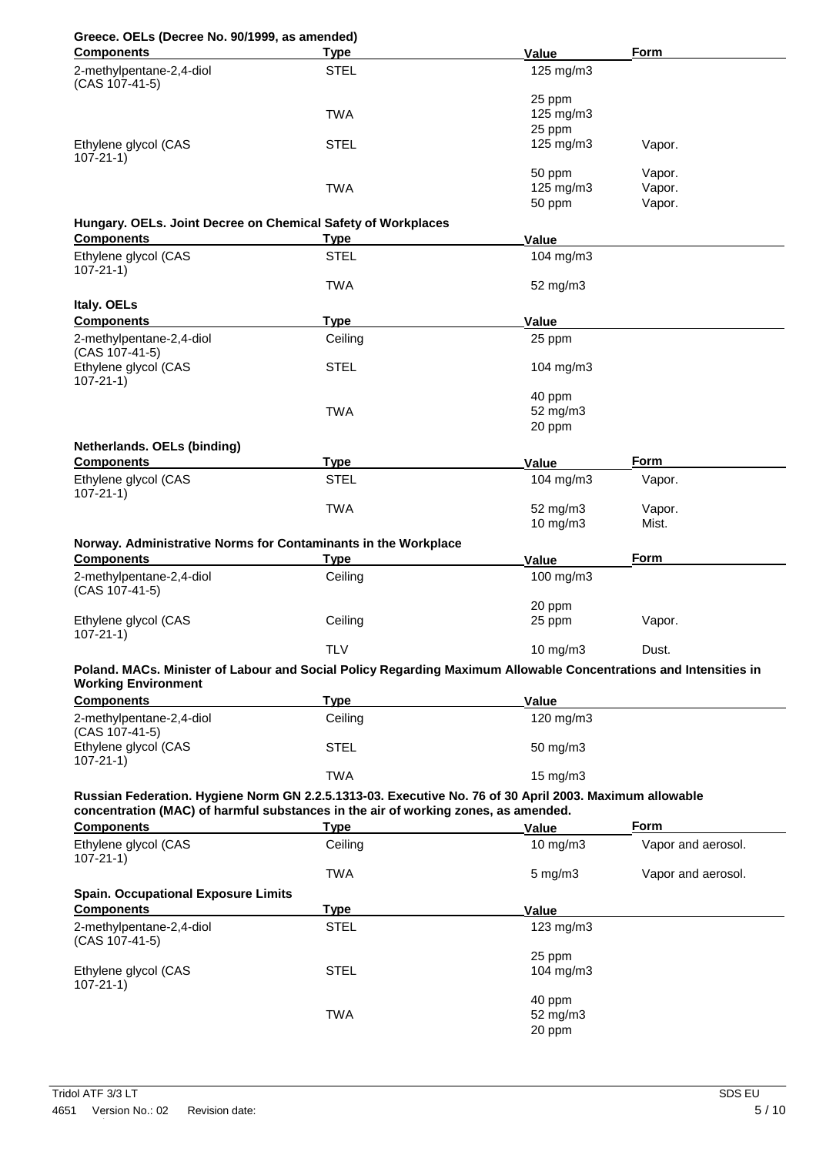# **Greece. OELs (Decree No. 90/1999, as amended)**

| <b>Components</b>                                                                                                                                                                             | <b>Type</b>                | Value                 | Form               |
|-----------------------------------------------------------------------------------------------------------------------------------------------------------------------------------------------|----------------------------|-----------------------|--------------------|
| 2-methylpentane-2,4-diol                                                                                                                                                                      | <b>STEL</b>                | 125 mg/m3             |                    |
| (CAS 107-41-5)                                                                                                                                                                                |                            |                       |                    |
|                                                                                                                                                                                               |                            | 25 ppm                |                    |
|                                                                                                                                                                                               | <b>TWA</b>                 | 125 mg/m3<br>25 ppm   |                    |
| Ethylene glycol (CAS                                                                                                                                                                          | <b>STEL</b>                | $125 \text{ mg/m}$    | Vapor.             |
| $107 - 21 - 1$                                                                                                                                                                                |                            |                       |                    |
|                                                                                                                                                                                               |                            | 50 ppm                | Vapor.             |
|                                                                                                                                                                                               | <b>TWA</b>                 | 125 mg/m3             | Vapor.             |
|                                                                                                                                                                                               |                            | 50 ppm                | Vapor.             |
| Hungary. OELs. Joint Decree on Chemical Safety of Workplaces                                                                                                                                  |                            |                       |                    |
| <b>Components</b>                                                                                                                                                                             | <b>Type</b><br><b>STEL</b> | Value                 |                    |
| Ethylene glycol (CAS<br>$107 - 21 - 1$                                                                                                                                                        |                            | 104 mg/m3             |                    |
|                                                                                                                                                                                               | <b>TWA</b>                 | 52 mg/m3              |                    |
| Italy. OELs                                                                                                                                                                                   |                            |                       |                    |
| <b>Components</b>                                                                                                                                                                             | <b>Type</b>                | Value                 |                    |
| 2-methylpentane-2,4-diol                                                                                                                                                                      | Ceiling                    | 25 ppm                |                    |
| (CAS 107-41-5)                                                                                                                                                                                |                            |                       |                    |
| Ethylene glycol (CAS<br>$107 - 21 - 1$                                                                                                                                                        | <b>STEL</b>                | 104 $mg/m3$           |                    |
|                                                                                                                                                                                               |                            | 40 ppm                |                    |
|                                                                                                                                                                                               | <b>TWA</b>                 | 52 mg/m3              |                    |
|                                                                                                                                                                                               |                            | 20 ppm                |                    |
| Netherlands. OELs (binding)                                                                                                                                                                   |                            |                       |                    |
| <b>Components</b>                                                                                                                                                                             | <b>Type</b>                | Value                 | Form               |
| Ethylene glycol (CAS                                                                                                                                                                          | <b>STEL</b>                | 104 mg/m3             | Vapor.             |
| $107 - 21 - 1$                                                                                                                                                                                |                            |                       |                    |
|                                                                                                                                                                                               | <b>TWA</b>                 | 52 mg/m3<br>10 mg/m3  | Vapor.<br>Mist.    |
|                                                                                                                                                                                               |                            |                       |                    |
| Norway. Administrative Norms for Contaminants in the Workplace<br><b>Components</b>                                                                                                           | <b>Type</b>                | Value                 | <b>Form</b>        |
| 2-methylpentane-2,4-diol                                                                                                                                                                      | Ceiling                    | 100 mg/m3             |                    |
| (CAS 107-41-5)                                                                                                                                                                                |                            |                       |                    |
|                                                                                                                                                                                               |                            | 20 ppm                |                    |
| Ethylene glycol (CAS                                                                                                                                                                          | Ceiling                    | 25 ppm                | Vapor.             |
| $107 - 21 - 1$                                                                                                                                                                                | <b>TLV</b>                 |                       | Dust.              |
|                                                                                                                                                                                               |                            | 10 mg/m3              |                    |
| Poland. MACs. Minister of Labour and Social Policy Regarding Maximum Allowable Concentrations and Intensities in<br><b>Working Environment</b>                                                |                            |                       |                    |
| <b>Components</b>                                                                                                                                                                             | <b>Type</b>                | <b>Value</b>          |                    |
| 2-methylpentane-2,4-diol                                                                                                                                                                      | Ceiling                    | 120 mg/m3             |                    |
| (CAS 107-41-5)                                                                                                                                                                                |                            |                       |                    |
| Ethylene glycol (CAS                                                                                                                                                                          | <b>STEL</b>                | 50 mg/m3              |                    |
| $107 - 21 - 1$                                                                                                                                                                                |                            |                       |                    |
|                                                                                                                                                                                               | <b>TWA</b>                 | 15 mg/m3              |                    |
| Russian Federation. Hygiene Norm GN 2.2.5.1313-03. Executive No. 76 of 30 April 2003. Maximum allowable<br>concentration (MAC) of harmful substances in the air of working zones, as amended. |                            |                       |                    |
| <b>Components</b>                                                                                                                                                                             | <u>Type</u>                | Value                 | <u>Form</u>        |
| Ethylene glycol (CAS                                                                                                                                                                          | Ceiling                    | 10 mg/m $3$           | Vapor and aerosol. |
| $107 - 21 - 1$                                                                                                                                                                                |                            |                       |                    |
|                                                                                                                                                                                               | <b>TWA</b>                 | $5 \text{ mg/m}$ 3    | Vapor and aerosol. |
| <b>Spain. Occupational Exposure Limits</b>                                                                                                                                                    |                            |                       |                    |
| <b>Components</b>                                                                                                                                                                             | <b>Type</b>                | Value                 |                    |
| 2-methylpentane-2,4-diol                                                                                                                                                                      | <b>STEL</b>                | $123$ mg/m $3$        |                    |
| (CAS 107-41-5)                                                                                                                                                                                |                            |                       |                    |
| Ethylene glycol (CAS                                                                                                                                                                          | <b>STEL</b>                | 25 ppm<br>104 $mg/m3$ |                    |
| $107 - 21 - 1$                                                                                                                                                                                |                            |                       |                    |
|                                                                                                                                                                                               |                            | 40 ppm                |                    |
|                                                                                                                                                                                               | <b>TWA</b>                 | 52 mg/m3              |                    |
|                                                                                                                                                                                               |                            | 20 ppm                |                    |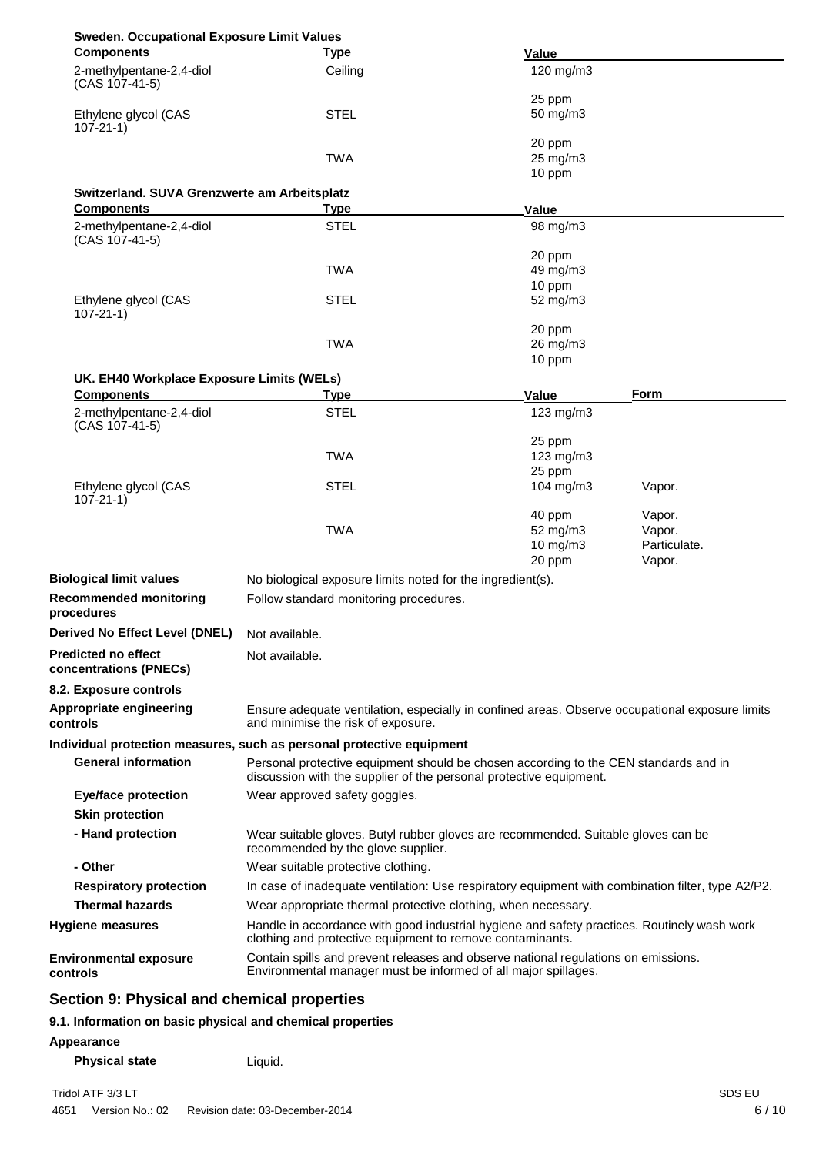| <b>Sweden. Occupational Exposure Limit Values</b> |
|---------------------------------------------------|
|                                                   |

| caciii Occupational Exposare Ellint<br><b>Components</b>   | <b>Type</b>                                                                                                                                                | Value                                         |                                            |
|------------------------------------------------------------|------------------------------------------------------------------------------------------------------------------------------------------------------------|-----------------------------------------------|--------------------------------------------|
| 2-methylpentane-2,4-diol<br>(CAS 107-41-5)                 | Ceiling                                                                                                                                                    | 120 mg/m3                                     |                                            |
| Ethylene glycol (CAS<br>$107 - 21 - 1$                     | <b>STEL</b>                                                                                                                                                | 25 ppm<br>50 mg/m3                            |                                            |
|                                                            | <b>TWA</b>                                                                                                                                                 | 20 ppm<br>25 mg/m3<br>10 ppm                  |                                            |
| Switzerland. SUVA Grenzwerte am Arbeitsplatz               |                                                                                                                                                            |                                               |                                            |
| <b>Components</b>                                          | <b>Type</b>                                                                                                                                                | Value                                         |                                            |
| 2-methylpentane-2,4-diol<br>(CAS 107-41-5)                 | <b>STEL</b>                                                                                                                                                | 98 mg/m3                                      |                                            |
|                                                            | <b>TWA</b>                                                                                                                                                 | 20 ppm<br>49 mg/m3<br>10 ppm                  |                                            |
| Ethylene glycol (CAS<br>$107 - 21 - 1$                     | <b>STEL</b>                                                                                                                                                | 52 mg/m3                                      |                                            |
|                                                            | <b>TWA</b>                                                                                                                                                 | 20 ppm<br>26 mg/m3<br>10 ppm                  |                                            |
| UK. EH40 Workplace Exposure Limits (WELs)                  |                                                                                                                                                            |                                               |                                            |
| <b>Components</b><br>2-methylpentane-2,4-diol              | Type<br><b>STEL</b>                                                                                                                                        | Value<br>$123$ mg/m $3$                       | Form                                       |
| (CAS 107-41-5)                                             |                                                                                                                                                            |                                               |                                            |
|                                                            | <b>TWA</b>                                                                                                                                                 | 25 ppm<br>$123$ mg/m $3$<br>25 ppm            |                                            |
| Ethylene glycol (CAS<br>$107 - 21 - 1$                     | <b>STEL</b>                                                                                                                                                | 104 $mg/m3$                                   | Vapor.                                     |
|                                                            | <b>TWA</b>                                                                                                                                                 | 40 ppm<br>52 mg/m3<br>$10$ mg/m $3$<br>20 ppm | Vapor.<br>Vapor.<br>Particulate.<br>Vapor. |
| <b>Biological limit values</b>                             | No biological exposure limits noted for the ingredient(s).                                                                                                 |                                               |                                            |
| <b>Recommended monitoring</b><br>procedures                | Follow standard monitoring procedures.                                                                                                                     |                                               |                                            |
| <b>Derived No Effect Level (DNEL)</b>                      | Not available.                                                                                                                                             |                                               |                                            |
| <b>Predicted no effect</b><br>concentrations (PNECs)       | Not available.                                                                                                                                             |                                               |                                            |
| 8.2. Exposure controls                                     |                                                                                                                                                            |                                               |                                            |
| Appropriate engineering<br>controls                        | Ensure adequate ventilation, especially in confined areas. Observe occupational exposure limits<br>and minimise the risk of exposure.                      |                                               |                                            |
|                                                            | Individual protection measures, such as personal protective equipment                                                                                      |                                               |                                            |
| <b>General information</b>                                 | Personal protective equipment should be chosen according to the CEN standards and in<br>discussion with the supplier of the personal protective equipment. |                                               |                                            |
| <b>Eye/face protection</b><br><b>Skin protection</b>       | Wear approved safety goggles.                                                                                                                              |                                               |                                            |
| - Hand protection                                          | Wear suitable gloves. Butyl rubber gloves are recommended. Suitable gloves can be<br>recommended by the glove supplier.                                    |                                               |                                            |
| - Other                                                    | Wear suitable protective clothing.                                                                                                                         |                                               |                                            |
| <b>Respiratory protection</b>                              | In case of inadequate ventilation: Use respiratory equipment with combination filter, type A2/P2.                                                          |                                               |                                            |
| <b>Thermal hazards</b>                                     | Wear appropriate thermal protective clothing, when necessary.                                                                                              |                                               |                                            |
| Hygiene measures                                           | Handle in accordance with good industrial hygiene and safety practices. Routinely wash work<br>clothing and protective equipment to remove contaminants.   |                                               |                                            |
| <b>Environmental exposure</b><br>controls                  | Contain spills and prevent releases and observe national regulations on emissions.<br>Environmental manager must be informed of all major spillages.       |                                               |                                            |
| Section 9: Physical and chemical properties                |                                                                                                                                                            |                                               |                                            |
| 9.1. Information on basic physical and chemical properties |                                                                                                                                                            |                                               |                                            |

**Appearance**

**Physical state Liquid.**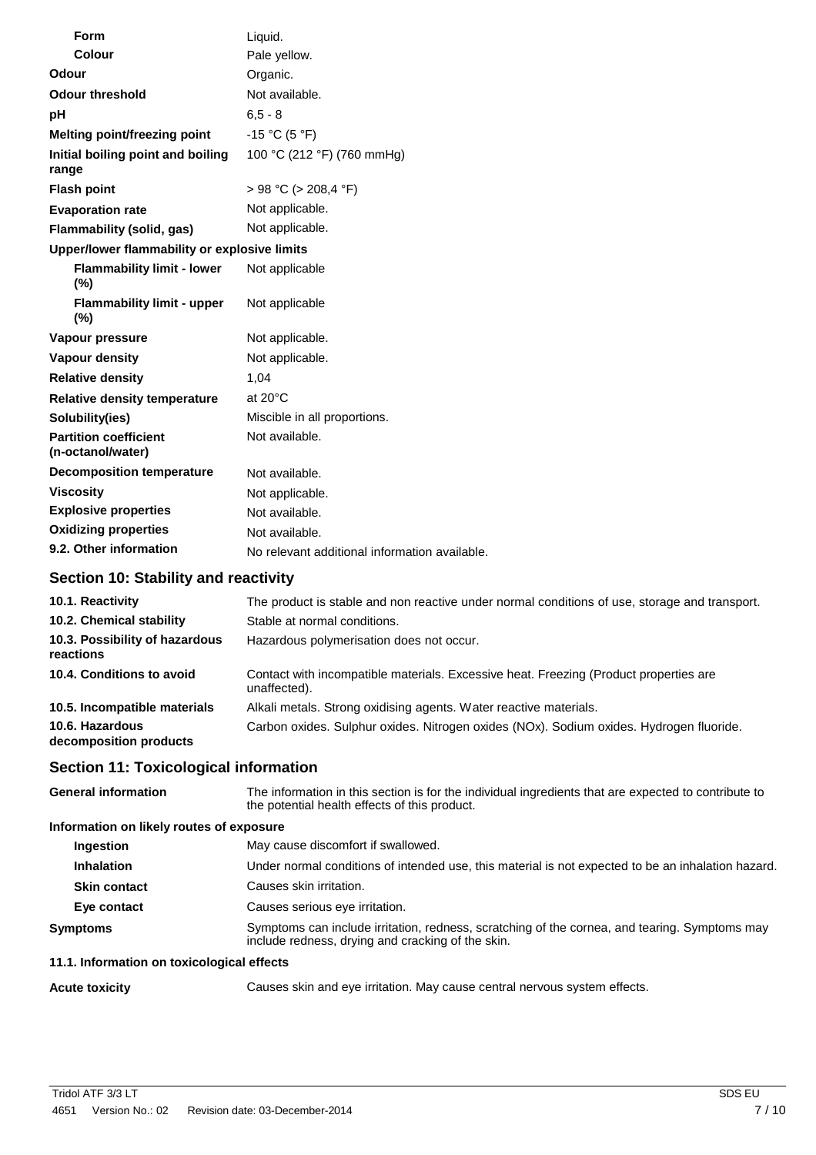| <b>Form</b>                                       | Liquid.                                       |  |
|---------------------------------------------------|-----------------------------------------------|--|
| Colour                                            | Pale yellow.                                  |  |
| Odour                                             | Organic.                                      |  |
| <b>Odour threshold</b>                            | Not available.                                |  |
| рH                                                | $6, 5 - 8$                                    |  |
| Melting point/freezing point                      | $-15 °C (5 °F)$                               |  |
| Initial boiling point and boiling<br>range        | 100 °C (212 °F) (760 mmHg)                    |  |
| <b>Flash point</b>                                | $> 98 °C$ ( $> 208.4 °F$ )                    |  |
| <b>Evaporation rate</b>                           | Not applicable.                               |  |
| <b>Flammability (solid, gas)</b>                  | Not applicable.                               |  |
| Upper/lower flammability or explosive limits      |                                               |  |
| <b>Flammability limit - lower</b><br>(%)          | Not applicable                                |  |
| <b>Flammability limit - upper</b><br>(%)          | Not applicable                                |  |
| Vapour pressure                                   | Not applicable.                               |  |
| <b>Vapour density</b>                             | Not applicable.                               |  |
| <b>Relative density</b>                           | 1,04                                          |  |
| <b>Relative density temperature</b>               | at $20^{\circ}$ C                             |  |
| Solubility(ies)                                   | Miscible in all proportions.                  |  |
| <b>Partition coefficient</b><br>(n-octanol/water) | Not available.                                |  |
| <b>Decomposition temperature</b>                  | Not available.                                |  |
| <b>Viscosity</b>                                  | Not applicable.                               |  |
| <b>Explosive properties</b>                       | Not available.                                |  |
| <b>Oxidizing properties</b>                       | Not available.                                |  |
| 9.2. Other information                            | No relevant additional information available. |  |

# **Section 10: Stability and reactivity**

| 10.1. Reactivity                            | The product is stable and non reactive under normal conditions of use, storage and transport.         |
|---------------------------------------------|-------------------------------------------------------------------------------------------------------|
| 10.2. Chemical stability                    | Stable at normal conditions.                                                                          |
| 10.3. Possibility of hazardous<br>reactions | Hazardous polymerisation does not occur.                                                              |
| 10.4. Conditions to avoid                   | Contact with incompatible materials. Excessive heat. Freezing (Product properties are<br>unaffected). |
| 10.5. Incompatible materials                | Alkali metals. Strong oxidising agents. Water reactive materials.                                     |
| 10.6. Hazardous<br>decomposition products   | Carbon oxides. Sulphur oxides. Nitrogen oxides (NOx). Sodium oxides. Hydrogen fluoride.               |

# **Section 11: Toxicological information**

| <b>General information</b>                 | The information in this section is for the individual ingredients that are expected to contribute to<br>the potential health effects of this product. |
|--------------------------------------------|-------------------------------------------------------------------------------------------------------------------------------------------------------|
| Information on likely routes of exposure   |                                                                                                                                                       |
| Ingestion                                  | May cause discomfort if swallowed.                                                                                                                    |
| <b>Inhalation</b>                          | Under normal conditions of intended use, this material is not expected to be an inhalation hazard.                                                    |
| <b>Skin contact</b>                        | Causes skin irritation.                                                                                                                               |
| Eye contact                                | Causes serious eye irritation.                                                                                                                        |
| <b>Symptoms</b>                            | Symptoms can include irritation, redness, scratching of the cornea, and tearing. Symptoms may<br>include redness, drying and cracking of the skin.    |
| 11.1. Information on toxicological effects |                                                                                                                                                       |

**Acute toxicity** Causes skin and eye irritation. May cause central nervous system effects.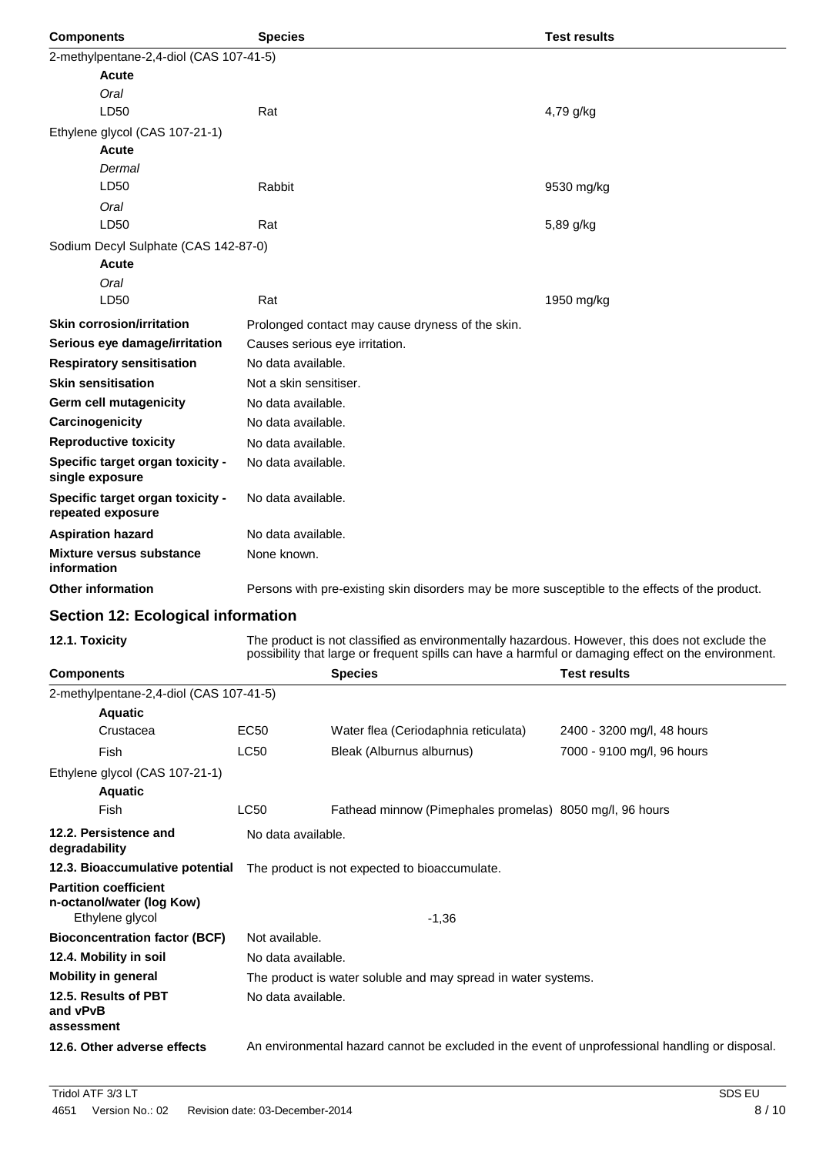| <b>Components</b>                                     | <b>Species</b>                 |                                                                                                 | <b>Test results</b>                                                                                                                                                                                   |
|-------------------------------------------------------|--------------------------------|-------------------------------------------------------------------------------------------------|-------------------------------------------------------------------------------------------------------------------------------------------------------------------------------------------------------|
| 2-methylpentane-2,4-diol (CAS 107-41-5)               |                                |                                                                                                 |                                                                                                                                                                                                       |
| <b>Acute</b>                                          |                                |                                                                                                 |                                                                                                                                                                                                       |
| Oral                                                  |                                |                                                                                                 |                                                                                                                                                                                                       |
| LD50                                                  | Rat                            |                                                                                                 | 4,79 g/kg                                                                                                                                                                                             |
| Ethylene glycol (CAS 107-21-1)                        |                                |                                                                                                 |                                                                                                                                                                                                       |
| <b>Acute</b>                                          |                                |                                                                                                 |                                                                                                                                                                                                       |
| Dermal                                                |                                |                                                                                                 |                                                                                                                                                                                                       |
| LD50                                                  | Rabbit                         |                                                                                                 | 9530 mg/kg                                                                                                                                                                                            |
| Oral                                                  |                                |                                                                                                 |                                                                                                                                                                                                       |
| LD50                                                  | Rat                            |                                                                                                 | 5,89 g/kg                                                                                                                                                                                             |
| Sodium Decyl Sulphate (CAS 142-87-0)                  |                                |                                                                                                 |                                                                                                                                                                                                       |
| <b>Acute</b>                                          |                                |                                                                                                 |                                                                                                                                                                                                       |
| Oral                                                  |                                |                                                                                                 |                                                                                                                                                                                                       |
| LD <sub>50</sub>                                      | Rat                            |                                                                                                 | 1950 mg/kg                                                                                                                                                                                            |
| <b>Skin corrosion/irritation</b>                      |                                | Prolonged contact may cause dryness of the skin.                                                |                                                                                                                                                                                                       |
| Serious eye damage/irritation                         | Causes serious eye irritation. |                                                                                                 |                                                                                                                                                                                                       |
| <b>Respiratory sensitisation</b>                      | No data available.             |                                                                                                 |                                                                                                                                                                                                       |
| <b>Skin sensitisation</b>                             | Not a skin sensitiser.         |                                                                                                 |                                                                                                                                                                                                       |
| Germ cell mutagenicity                                | No data available.             |                                                                                                 |                                                                                                                                                                                                       |
| Carcinogenicity                                       | No data available.             |                                                                                                 |                                                                                                                                                                                                       |
| <b>Reproductive toxicity</b>                          | No data available.             |                                                                                                 |                                                                                                                                                                                                       |
| Specific target organ toxicity -<br>single exposure   | No data available.             |                                                                                                 |                                                                                                                                                                                                       |
| Specific target organ toxicity -<br>repeated exposure | No data available.             |                                                                                                 |                                                                                                                                                                                                       |
| <b>Aspiration hazard</b>                              | No data available.             |                                                                                                 |                                                                                                                                                                                                       |
| <b>Mixture versus substance</b><br>information        | None known.                    |                                                                                                 |                                                                                                                                                                                                       |
| <b>Other information</b>                              |                                | Persons with pre-existing skin disorders may be more susceptible to the effects of the product. |                                                                                                                                                                                                       |
|                                                       |                                |                                                                                                 |                                                                                                                                                                                                       |
| Section 12: Ecological information                    |                                |                                                                                                 |                                                                                                                                                                                                       |
| 12.1. Toxicity                                        |                                |                                                                                                 | The product is not classified as environmentally hazardous. However, this does not exclude the<br>possibility that large or frequent spills can have a harmful or damaging effect on the environment. |
| <b>Components</b>                                     |                                | <b>Species</b>                                                                                  | <b>Test results</b>                                                                                                                                                                                   |
| 2-methylpentane-2,4-diol (CAS 107-41-5)               |                                |                                                                                                 |                                                                                                                                                                                                       |
| <b>Aquatic</b>                                        |                                |                                                                                                 |                                                                                                                                                                                                       |
| Crustacea                                             | EC50                           | Water flea (Ceriodaphnia reticulata)                                                            | 2400 - 3200 mg/l, 48 hours                                                                                                                                                                            |
| Fish                                                  | LC50                           | Bleak (Alburnus alburnus)                                                                       | 7000 - 9100 mg/l, 96 hours                                                                                                                                                                            |
| Ethylene glycol (CAS 107-21-1)<br><b>Aquatic</b>      |                                |                                                                                                 |                                                                                                                                                                                                       |
| Fish                                                  | <b>LC50</b>                    | Fathead minnow (Pimephales promelas) 8050 mg/l, 96 hours                                        |                                                                                                                                                                                                       |
| 12.2. Persistence and<br>degradability                | No data available.             |                                                                                                 |                                                                                                                                                                                                       |
| 12.3. Bioaccumulative potential                       |                                | The product is not expected to bioaccumulate.                                                   |                                                                                                                                                                                                       |
| <b>Partition coefficient</b>                          |                                |                                                                                                 |                                                                                                                                                                                                       |

**n-octanol/water (log Kow)** Ethylene glycol **Bioconcentration factor (BCF) 12.4. Mobility in soil Mobility in general 12.5. Results of PBT and vPvB assessment 12.6. Other adverse effects** -1,36 Not available. No data available. The product is water soluble and may spread in water systems. No data available. An environmental hazard cannot be excluded in the event of unprofessional handling or disposal.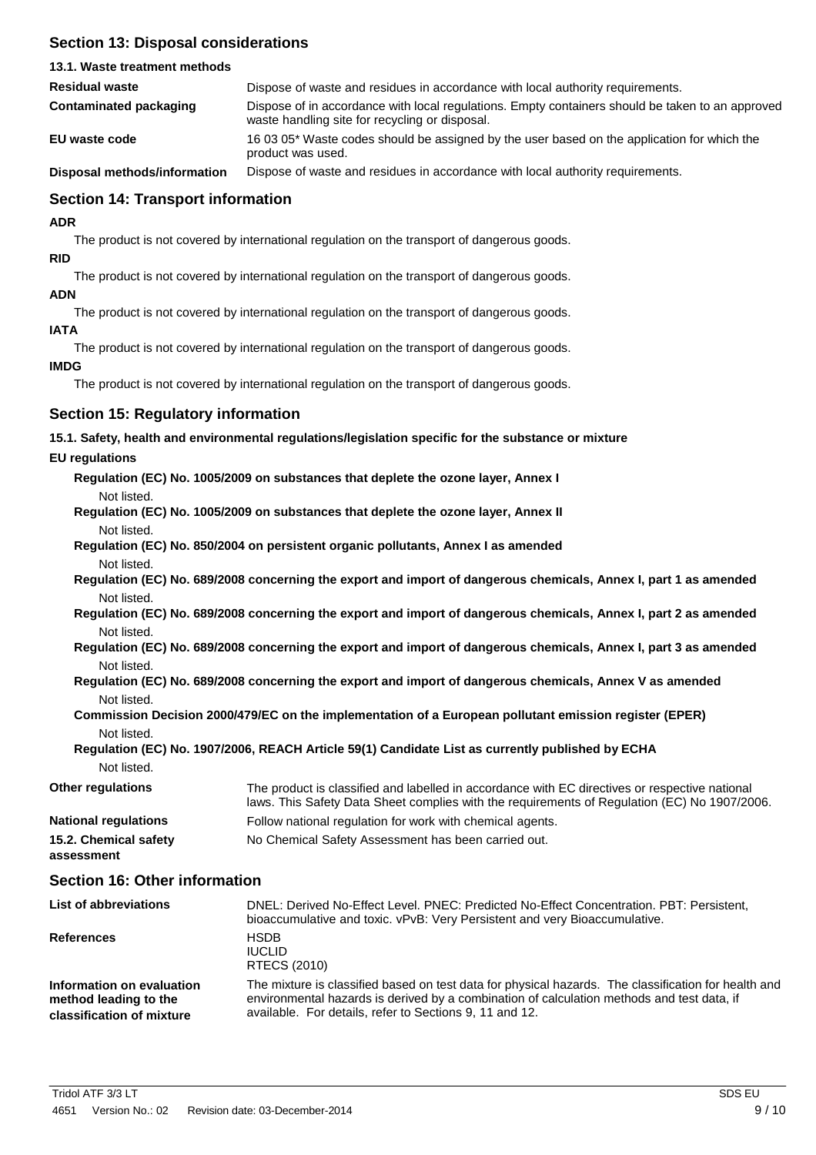# **Section 13: Disposal considerations**

| 13.1. Waste treatment methods            |                                                                                                                                                    |
|------------------------------------------|----------------------------------------------------------------------------------------------------------------------------------------------------|
| <b>Residual waste</b>                    | Dispose of waste and residues in accordance with local authority requirements.                                                                     |
| Contaminated packaging                   | Dispose of in accordance with local regulations. Empty containers should be taken to an approved<br>waste handling site for recycling or disposal. |
| EU waste code                            | 16 03 05* Waste codes should be assigned by the user based on the application for which the<br>product was used.                                   |
| Discovered as attracted to famous attack | Dianges of worth and regiduac in accordance with local quitperity requirements.                                                                    |

Dispose of waste and residues in accordance with local authority requirements. **Disposal methods/information**

# **Section 14: Transport information**

**ADR**

The product is not covered by international regulation on the transport of dangerous goods.

**RID**

The product is not covered by international regulation on the transport of dangerous goods.

# **ADN**

The product is not covered by international regulation on the transport of dangerous goods.

## **IATA**

The product is not covered by international regulation on the transport of dangerous goods.

## **IMDG**

The product is not covered by international regulation on the transport of dangerous goods.

# **Section 15: Regulatory information**

## **15.1. Safety, health and environmental regulations/legislation specific for the substance or mixture**

## **EU regulations**

| Regulation (EC) No. 1005/2009 on substances that deplete the ozone layer, Annex I  |  |
|------------------------------------------------------------------------------------|--|
| Not listed.                                                                        |  |
| Regulation (EC) No. 1005/2009 on substances that deplete the ozone layer, Annex II |  |

Not listed. **Regulation (EC) No. 850/2004 on persistent organic pollutants, Annex I as amended** Not listed.

Regulation (EC) No. 689/2008 concerning the export and import of dangerous chemicals, Annex I, part 1 as amended Not listed.

Regulation (EC) No. 689/2008 concerning the export and import of dangerous chemicals, Annex I, part 2 as amended Not listed.

Regulation (EC) No. 689/2008 concerning the export and import of dangerous chemicals, Annex I, part 3 as amended Not listed.

## **Regulation (EC) No. 689/2008 concerning the export and import of dangerous chemicals, Annex V as amended** Not listed.

## **Commission Decision 2000/479/EC on the implementation of a European pollutant emission register (EPER)** Not listed.

# **Regulation (EC) No. 1907/2006, REACH Article 59(1) Candidate List as currently published by ECHA** Not listed.

| <b>Other regulations</b>            | The product is classified and labelled in accordance with EC directives or respective national<br>laws. This Safety Data Sheet complies with the requirements of Regulation (EC) No 1907/2006. |
|-------------------------------------|------------------------------------------------------------------------------------------------------------------------------------------------------------------------------------------------|
| <b>National regulations</b>         | Follow national regulation for work with chemical agents.                                                                                                                                      |
| 15.2. Chemical safety<br>assessment | No Chemical Safety Assessment has been carried out.                                                                                                                                            |

# **Section 16: Other information**

| <b>List of abbreviations</b>                                                    | DNEL: Derived No-Effect Level. PNEC: Predicted No-Effect Concentration. PBT: Persistent,<br>bioaccumulative and toxic. vPvB: Very Persistent and very Bioaccumulative.                                                                                        |
|---------------------------------------------------------------------------------|---------------------------------------------------------------------------------------------------------------------------------------------------------------------------------------------------------------------------------------------------------------|
| <b>References</b>                                                               | <b>HSDB</b><br><b>IUCLID</b><br>RTECS (2010)                                                                                                                                                                                                                  |
| Information on evaluation<br>method leading to the<br>classification of mixture | The mixture is classified based on test data for physical hazards. The classification for health and<br>environmental hazards is derived by a combination of calculation methods and test data, if<br>available. For details, refer to Sections 9, 11 and 12. |